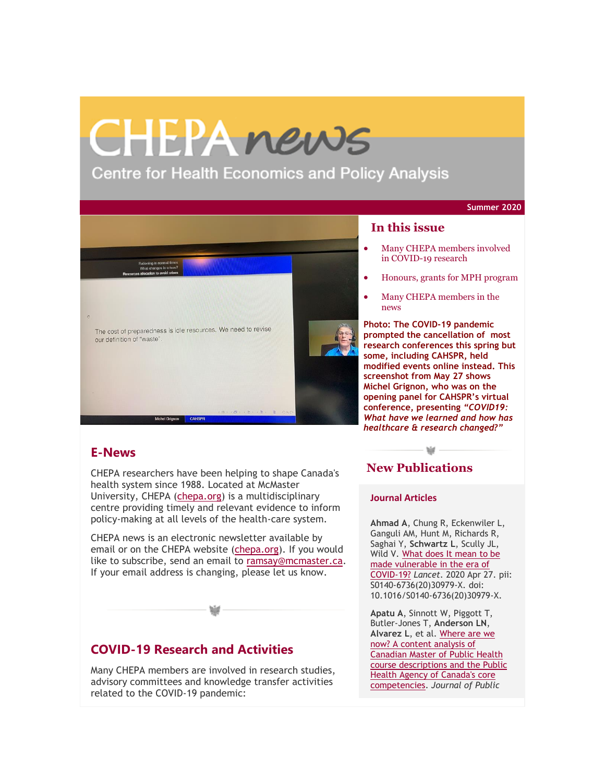# CHEPAnews

**Centre for Health Economics and Policy Analysis** 

**Summer 2020**



#### **In this issue**

- Many CHEPA members involved in COVID-19 research
- Honours, grants for MPH program
- Many CHEPA members in the news

**Photo: The COVID-19 pandemic prompted the cancellation of most research conferences this spring but some, including CAHSPR, held modified events online instead. This screenshot from May 27 shows Michel Grignon, who was on the opening panel for CAHSPR's virtual conference, presenting** *"COVID19: What have we learned and how has healthcare & research changed?"*

## **E-News**

CHEPA researchers have been helping to shape Canada's health system since 1988. Located at McMaster University, CHEPA [\(chepa.org\)](https://newsletters.cubiclefugitive.com/t/y-l-uhskid-gkhitzlj-t/) is a multidisciplinary centre providing timely and relevant evidence to inform policy-making at all levels of the health-care system.

CHEPA news is an electronic newsletter available by email or on the CHEPA website [\(chepa.org\)](https://newsletters.cubiclefugitive.com/t/y-l-uhskid-gkhitzlj-i/). If you would like to subscribe, send an email to [ramsay@mcmaster.ca.](mailto:ramsay@mcmaster.ca) If your email address is changing, please let us know.

# **COVID-19 Research and Activities**

Many CHEPA members are involved in research studies, advisory committees and knowledge transfer activities related to the COVID-19 pandemic:

# **New Publications**

bld -

#### **Journal Articles**

**Ahmad A**, Chung R, Eckenwiler L, Ganguli AM, Hunt M, Richards R, Saghai Y, **Schwartz L**, Scully JL, Wild V. [What](https://newsletters.cubiclefugitive.com/t/y-l-uhskid-gkhitzlj-ik/) does It mean to be made [vulnerable](https://newsletters.cubiclefugitive.com/t/y-l-uhskid-gkhitzlj-ik/) in the era of [COVID-19?](https://newsletters.cubiclefugitive.com/t/y-l-uhskid-gkhitzlj-ik/) *Lancet.* 2020 Apr 27. pii: S0140-6736(20)30979-X. doi: 10.1016/S0140-6736(20)30979-X.

**Apatu A**, Sinnott W, Piggott T, Butler-Jones T, **Anderson LN**, **Alvarez L**, et al. [Where](https://newsletters.cubiclefugitive.com/t/y-l-uhskid-gkhitzlj-iu/) are we now? A [content](https://newsletters.cubiclefugitive.com/t/y-l-uhskid-gkhitzlj-iu/) analysis of [Canadian](https://newsletters.cubiclefugitive.com/t/y-l-uhskid-gkhitzlj-iu/) Master of Public Health course [descriptions](https://newsletters.cubiclefugitive.com/t/y-l-uhskid-gkhitzlj-iu/) and the Public Health Agency of [Canada's](https://newsletters.cubiclefugitive.com/t/y-l-uhskid-gkhitzlj-iu/) core [competencies.](https://newsletters.cubiclefugitive.com/t/y-l-uhskid-gkhitzlj-iu/) *Journal of Public*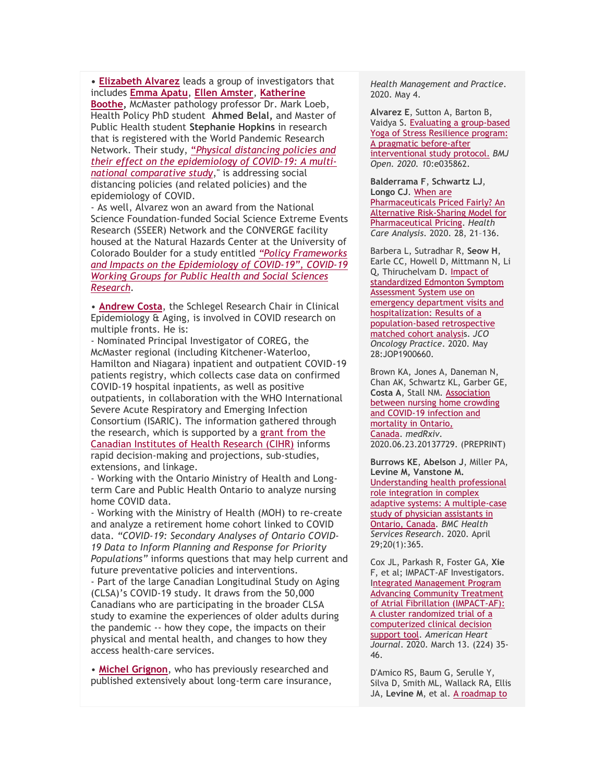**• [Elizabeth](https://newsletters.cubiclefugitive.com/t/y-l-uhskid-gkhitzlj-d/) Alvarez** leads a group of investigators that includes **[Emma](https://newsletters.cubiclefugitive.com/t/y-l-uhskid-gkhitzlj-h/) Apatu**, **Ellen [Amster](https://newsletters.cubiclefugitive.com/t/y-l-uhskid-gkhitzlj-k/)**, **[Katherine](https://newsletters.cubiclefugitive.com/t/y-l-uhskid-gkhitzlj-u/)**

**[Boothe,](https://newsletters.cubiclefugitive.com/t/y-l-uhskid-gkhitzlj-u/)** McMaster pathology professor Dr. Mark Loeb, Health Policy PhD student **Ahmed Belal,** and Master of Public Health student **Stephanie Hopkins** in research that is registered with the World Pandemic Research Network. Their study, "*Physical [distancing](https://newsletters.cubiclefugitive.com/t/y-l-uhskid-gkhitzlj-o/) policies and their effect on the [epidemiology](https://newsletters.cubiclefugitive.com/t/y-l-uhskid-gkhitzlj-o/) of COVID-19: A multinational [comparative](https://newsletters.cubiclefugitive.com/t/y-l-uhskid-gkhitzlj-o/) study*," is addressing social distancing policies (and related policies) and the epidemiology of COVID.

- As well, Alvarez won an award from the National Science Foundation-funded Social Science Extreme Events Research (SSEER) Network and the CONVERGE facility housed at the Natural Hazards Center at the University of Colorado Boulder for a study entitled *"Policy [Frameworks](https://newsletters.cubiclefugitive.com/t/y-l-uhskid-gkhitzlj-b/) and Impacts on the [Epidemiology](https://newsletters.cubiclefugitive.com/t/y-l-uhskid-gkhitzlj-b/) of COVID-19", COVID-19 Working Groups for Public Health and Social [Sciences](https://newsletters.cubiclefugitive.com/t/y-l-uhskid-gkhitzlj-b/) [Research.](https://newsletters.cubiclefugitive.com/t/y-l-uhskid-gkhitzlj-b/)*

• **[Andrew](https://newsletters.cubiclefugitive.com/t/y-l-uhskid-gkhitzlj-n/) Costa**, the Schlegel Research Chair in Clinical Epidemiology & Aging, is involved in COVID research on multiple fronts. He is:

- Nominated Principal Investigator of COREG, the McMaster regional (including Kitchener-Waterloo, Hamilton and Niagara) inpatient and outpatient COVID-19 patients registry, which collects case data on confirmed COVID-19 hospital inpatients, as well as positive outpatients, in collaboration with the WHO International Severe Acute Respiratory and Emerging Infection Consortium (ISARIC). The information gathered through the research, which is supported by a [grant](https://newsletters.cubiclefugitive.com/t/y-l-uhskid-gkhitzlj-p/) from the Canadian [Institutes](https://newsletters.cubiclefugitive.com/t/y-l-uhskid-gkhitzlj-p/) of Health Research (CIHR) informs rapid decision-making and projections, sub-studies, extensions, and linkage.

- Working with the Ontario Ministry of Health and Longterm Care and Public Health Ontario to analyze nursing home COVID data.

- Working with the Ministry of Health (MOH) to re-create and analyze a retirement home cohort linked to COVID data. *"COVID-19: Secondary Analyses of Ontario COVID-19 Data to Inform Planning and Response for Priority Populations"* informs questions that may help current and future preventative policies and interventions.

- Part of the large Canadian Longitudinal Study on Aging (CLSA)'s COVID-19 study. It draws from the 50,000 Canadians who are participating in the broader CLSA study to examine the experiences of older adults during the pandemic -- how they cope, the impacts on their physical and mental health, and changes to how they access health-care services.

• **Michel [Grignon](https://newsletters.cubiclefugitive.com/t/y-l-uhskid-gkhitzlj-x/)**, who has previously researched and published extensively about long-term care insurance, *Health Management and Practice*. 2020. May 4.

**Alvarez E**, Sutton A, Barton B, Vaidya S. Evaluating a [group-based](https://newsletters.cubiclefugitive.com/t/y-l-uhskid-gkhitzlj-dl/) Yoga of Stress [Resilience](https://newsletters.cubiclefugitive.com/t/y-l-uhskid-gkhitzlj-dl/) program: A pragmatic [before-after](https://newsletters.cubiclefugitive.com/t/y-l-uhskid-gkhitzlj-dl/) [interventional](https://newsletters.cubiclefugitive.com/t/y-l-uhskid-gkhitzlj-dl/) study protocol. *BMJ Open. 2020. 1*0:e035862.

**Balderrama F**, **Schwartz LJ**, **Longo CJ**. [When](https://newsletters.cubiclefugitive.com/t/y-l-uhskid-gkhitzlj-dr/) are [Pharmaceuticals](https://newsletters.cubiclefugitive.com/t/y-l-uhskid-gkhitzlj-dr/) Priced Fairly? An Alternative [Risk-Sharing](https://newsletters.cubiclefugitive.com/t/y-l-uhskid-gkhitzlj-dr/) Model for [Pharmaceutical](https://newsletters.cubiclefugitive.com/t/y-l-uhskid-gkhitzlj-dr/) Pricing. *Health Care Analysis*. 2020. 28, 21–136.

Barbera L, Sutradhar R, **Seow H**, Earle CC, Howell D, Mittmann N, Li Q, Thiruchelvam D. [Impact](https://newsletters.cubiclefugitive.com/t/y-l-uhskid-gkhitzlj-dy/) of [standardized](https://newsletters.cubiclefugitive.com/t/y-l-uhskid-gkhitzlj-dy/) Edmonton Symptom [Assessment](https://newsletters.cubiclefugitive.com/t/y-l-uhskid-gkhitzlj-dy/) System use on emergency [department](https://newsletters.cubiclefugitive.com/t/y-l-uhskid-gkhitzlj-dy/) visits and [hospitalization:](https://newsletters.cubiclefugitive.com/t/y-l-uhskid-gkhitzlj-dy/) Results of a [population-based](https://newsletters.cubiclefugitive.com/t/y-l-uhskid-gkhitzlj-dy/) retrospective [matched](https://newsletters.cubiclefugitive.com/t/y-l-uhskid-gkhitzlj-dy/) cohort analysis. *JCO Oncology Practice*. 2020. May 28:JOP1900660.

Brown KA, Jones A, Daneman N, Chan AK, Schwartz KL, Garber GE, **Costa A**, Stall NM. [Association](https://newsletters.cubiclefugitive.com/t/y-l-uhskid-gkhitzlj-dj/) between nursing home [crowding](https://newsletters.cubiclefugitive.com/t/y-l-uhskid-gkhitzlj-dj/) and [COVID-19](https://newsletters.cubiclefugitive.com/t/y-l-uhskid-gkhitzlj-dj/) infection and [mortality](https://newsletters.cubiclefugitive.com/t/y-l-uhskid-gkhitzlj-dj/) in Ontario, [Canada.](https://newsletters.cubiclefugitive.com/t/y-l-uhskid-gkhitzlj-dj/) *medRxiv.* 2020.06.23.20137729. (PREPRINT)

**Burrows KE**, **Abelson J**, Miller PA, **Levine M, Vanstone M.** [Understanding](https://newsletters.cubiclefugitive.com/t/y-l-uhskid-gkhitzlj-dt/) health professional role [integration](https://newsletters.cubiclefugitive.com/t/y-l-uhskid-gkhitzlj-dt/) in complex adaptive systems: A [multiple-case](https://newsletters.cubiclefugitive.com/t/y-l-uhskid-gkhitzlj-dt/) study of physician [assistants](https://newsletters.cubiclefugitive.com/t/y-l-uhskid-gkhitzlj-dt/) in [Ontario,](https://newsletters.cubiclefugitive.com/t/y-l-uhskid-gkhitzlj-dt/) Canada. *BMC Health Services Research*. 2020. April 29;20(1):365.

Cox JL, Parkash R, Foster GA, **Xie**  F, et al; IMPACT-AF Investigators. Integrated [Management](https://newsletters.cubiclefugitive.com/t/y-l-uhskid-gkhitzlj-di/) Program Advancing [Community](https://newsletters.cubiclefugitive.com/t/y-l-uhskid-gkhitzlj-di/) Treatment of Atrial Fibrillation [\(IMPACT-AF\):](https://newsletters.cubiclefugitive.com/t/y-l-uhskid-gkhitzlj-di/) A cluster [randomized](https://newsletters.cubiclefugitive.com/t/y-l-uhskid-gkhitzlj-di/) trial of a [computerized](https://newsletters.cubiclefugitive.com/t/y-l-uhskid-gkhitzlj-di/) clinical decision [support](https://newsletters.cubiclefugitive.com/t/y-l-uhskid-gkhitzlj-di/) tool. *American Heart Journal*. 2020. March 13. (224) 35- 46.

D'Amico RS, Baum G, Serulle Y, Silva D, Smith ML, Wallack RA, Ellis JA, Levine M, et al. A [roadmap](https://newsletters.cubiclefugitive.com/t/y-l-uhskid-gkhitzlj-dd/) to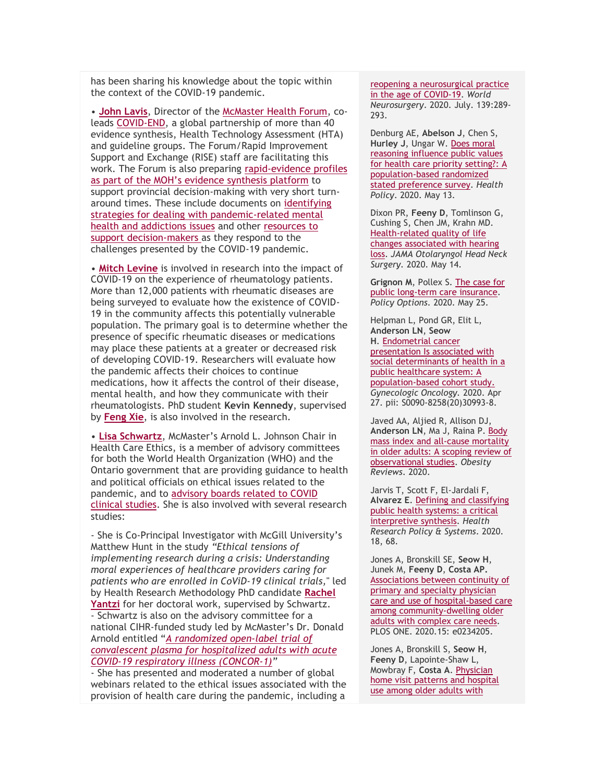has been sharing his knowledge about the topic within the context of the COVID-19 pandemic.

• **John [Lavis](https://newsletters.cubiclefugitive.com/t/y-l-uhskid-gkhitzlj-m/)**, Director of the [McMaster](https://newsletters.cubiclefugitive.com/t/y-l-uhskid-gkhitzlj-c/) Health Forum, coleads [COVID-END,](https://newsletters.cubiclefugitive.com/t/y-l-uhskid-gkhitzlj-q/) a global partnership of more than 40 evidence synthesis, Health Technology Assessment (HTA) and guideline groups. The Forum/Rapid Improvement Support and Exchange (RISE) staff are facilitating this work. The Forum is also preparing [rapid-evidence](https://newsletters.cubiclefugitive.com/t/y-l-uhskid-gkhitzlj-a/) profiles as part of the MOH's evidence [synthesis](https://newsletters.cubiclefugitive.com/t/y-l-uhskid-gkhitzlj-a/) platform to support provincial decision-making with very short turnaround times. These include documents on [identifying](https://newsletters.cubiclefugitive.com/t/y-l-uhskid-gkhitzlj-f/) strategies for dealing with [pandemic-related](https://newsletters.cubiclefugitive.com/t/y-l-uhskid-gkhitzlj-f/) mental health and [addictions](https://newsletters.cubiclefugitive.com/t/y-l-uhskid-gkhitzlj-f/) issues and other [resources](https://newsletters.cubiclefugitive.com/t/y-l-uhskid-gkhitzlj-z/) to support [decision-makers](https://newsletters.cubiclefugitive.com/t/y-l-uhskid-gkhitzlj-z/) as they respond to the challenges presented by the COVID-19 pandemic.

• **Mitch [Levine](https://newsletters.cubiclefugitive.com/t/y-l-uhskid-gkhitzlj-v/)** is involved in research into the impact of COVID-19 on the experience of rheumatology patients. More than 12,000 patients with rheumatic diseases are being surveyed to evaluate how the existence of COVID-19 in the community affects this potentially vulnerable population. The primary goal is to determine whether the presence of specific rheumatic diseases or medications may place these patients at a greater or decreased risk of developing COVID-19. Researchers will evaluate how the pandemic affects their choices to continue medications, how it affects the control of their disease, mental health, and how they communicate with their rheumatologists. PhD student **Kevin Kennedy**, supervised by **[Feng](https://newsletters.cubiclefugitive.com/t/y-l-uhskid-gkhitzlj-e/) Xie**, is also involved in the research.

• **Lisa [Schwartz](https://newsletters.cubiclefugitive.com/t/y-l-uhskid-gkhitzlj-s/)**, McMaster's Arnold L. Johnson Chair in Health Care Ethics, is a member of advisory committees for both the World Health Organization (WHO) and the Ontario government that are providing guidance to health and political officials on ethical issues related to the pandemic, and to [advisory](https://newsletters.cubiclefugitive.com/t/y-l-uhskid-gkhitzlj-g/) boards related to COVID clinical [studies.](https://newsletters.cubiclefugitive.com/t/y-l-uhskid-gkhitzlj-g/) She is also involved with several research studies:

- She is Co-Principal Investigator with McGill University's Matthew Hunt in the study *"Ethical tensions of implementing research during a crisis: Understanding moral experiences of healthcare providers caring for patients who are enrolled in CoViD-19 clinical trials,*" led by Health Research Methodology PhD candidate **[Rachel](https://newsletters.cubiclefugitive.com/t/y-l-uhskid-gkhitzlj-w/) [Yantzi](https://newsletters.cubiclefugitive.com/t/y-l-uhskid-gkhitzlj-w/)** for her doctoral work, supervised by Schwartz. - Schwartz is also on the advisory committee for a national CIHR-funded study led by McMaster's Dr. Donald Arnold entitled "*A [randomized](https://newsletters.cubiclefugitive.com/t/y-l-uhskid-gkhitzlj-yd/) open-label trial of [convalescent](https://newsletters.cubiclefugitive.com/t/y-l-uhskid-gkhitzlj-yd/) plasma for hospitalized adults with acute COVID-19 respiratory illness [\(CONCOR-1\)](https://newsletters.cubiclefugitive.com/t/y-l-uhskid-gkhitzlj-yd/)"*

- She has presented and moderated a number of global webinars related to the ethical issues associated with the provision of health care during the pandemic, including a

reopening a [neurosurgical](https://newsletters.cubiclefugitive.com/t/y-l-uhskid-gkhitzlj-dd/) practice in the age of [COVID-19.](https://newsletters.cubiclefugitive.com/t/y-l-uhskid-gkhitzlj-dd/) *World Neurosurgery*. 2020. July. 139:289- 293.

Denburg AE, **Abelson J**, Chen S, **Hurley J**, Ungar W. Does [moral](https://newsletters.cubiclefugitive.com/t/y-l-uhskid-gkhitzlj-dh/) [reasoning](https://newsletters.cubiclefugitive.com/t/y-l-uhskid-gkhitzlj-dh/) influence public values for health care priority [setting?:](https://newsletters.cubiclefugitive.com/t/y-l-uhskid-gkhitzlj-dh/) A [population-based](https://newsletters.cubiclefugitive.com/t/y-l-uhskid-gkhitzlj-dh/) randomized stated [preference](https://newsletters.cubiclefugitive.com/t/y-l-uhskid-gkhitzlj-dh/) survey. *Health Policy*. 2020. May 13.

Dixon PR, **Feeny D**, Tomlinson G, Cushing S, Chen JM, Krahn MD. [Health-related](https://newsletters.cubiclefugitive.com/t/y-l-uhskid-gkhitzlj-dk/) quality of life changes [associated](https://newsletters.cubiclefugitive.com/t/y-l-uhskid-gkhitzlj-dk/) with hearing [loss.](https://newsletters.cubiclefugitive.com/t/y-l-uhskid-gkhitzlj-dk/) *JAMA Otolaryngol Head Neck Surgery.* 2020. May 14.

**Grignon M**, Pollex S. The [case](https://newsletters.cubiclefugitive.com/t/y-l-uhskid-gkhitzlj-du/) for public long-term care [insurance.](https://newsletters.cubiclefugitive.com/t/y-l-uhskid-gkhitzlj-du/) *Policy Options*. 2020. May 25.

Helpman L, Pond GR, Elit L, **Anderson LN**, **Seow H**. [Endometrial](https://newsletters.cubiclefugitive.com/t/y-l-uhskid-gkhitzlj-hl/) cancer [presentation](https://newsletters.cubiclefugitive.com/t/y-l-uhskid-gkhitzlj-hl/) Is associated with social [determinants](https://newsletters.cubiclefugitive.com/t/y-l-uhskid-gkhitzlj-hl/) of health in a public [healthcare](https://newsletters.cubiclefugitive.com/t/y-l-uhskid-gkhitzlj-hl/) system: A [population-based](https://newsletters.cubiclefugitive.com/t/y-l-uhskid-gkhitzlj-hl/) cohort study. *Gynecologic Oncology.* 2020. Apr 27. pii: S0090-8258(20)30993-8.

Javed AA, Aljied R, Allison DJ, **Anderson LN**, Ma J, Raina P. [Body](https://newsletters.cubiclefugitive.com/t/y-l-uhskid-gkhitzlj-hr/) mass index and all‐cause [mortality](https://newsletters.cubiclefugitive.com/t/y-l-uhskid-gkhitzlj-hr/) in older adults: A [scoping](https://newsletters.cubiclefugitive.com/t/y-l-uhskid-gkhitzlj-hr/) review of [observational](https://newsletters.cubiclefugitive.com/t/y-l-uhskid-gkhitzlj-hr/) studies. *Obesity Reviews*. 2020.

Jarvis T, Scott F, El-Jardali F, **Alvarez E**. Defining and [classifying](https://newsletters.cubiclefugitive.com/t/y-l-uhskid-gkhitzlj-hy/) public health [systems:](https://newsletters.cubiclefugitive.com/t/y-l-uhskid-gkhitzlj-hy/) a critical [interpretive](https://newsletters.cubiclefugitive.com/t/y-l-uhskid-gkhitzlj-hy/) synthesis. *Health Research Policy & Systems*. 2020. 18, 68.

Jones A, Bronskill SE, **Seow H**, Junek M, **Feeny D**, **Costa AP.** [Associations](https://newsletters.cubiclefugitive.com/t/y-l-uhskid-gkhitzlj-hj/) between continuity of primary and specialty [physician](https://newsletters.cubiclefugitive.com/t/y-l-uhskid-gkhitzlj-hj/) care and use of [hospital-based](https://newsletters.cubiclefugitive.com/t/y-l-uhskid-gkhitzlj-hj/) care among [community-dwelling](https://newsletters.cubiclefugitive.com/t/y-l-uhskid-gkhitzlj-hj/) older adults with [complex](https://newsletters.cubiclefugitive.com/t/y-l-uhskid-gkhitzlj-hj/) care needs. PLOS ONE. 2020.15: e0234205.

Jones A, Bronskill S, **Seow H**, **Feeny D**, Lapointe-Shaw L, Mowbray F, **Costa A**. [Physician](https://newsletters.cubiclefugitive.com/t/y-l-uhskid-gkhitzlj-ht/) home visit [patterns](https://newsletters.cubiclefugitive.com/t/y-l-uhskid-gkhitzlj-ht/) and hospital use [among](https://newsletters.cubiclefugitive.com/t/y-l-uhskid-gkhitzlj-ht/) older adults with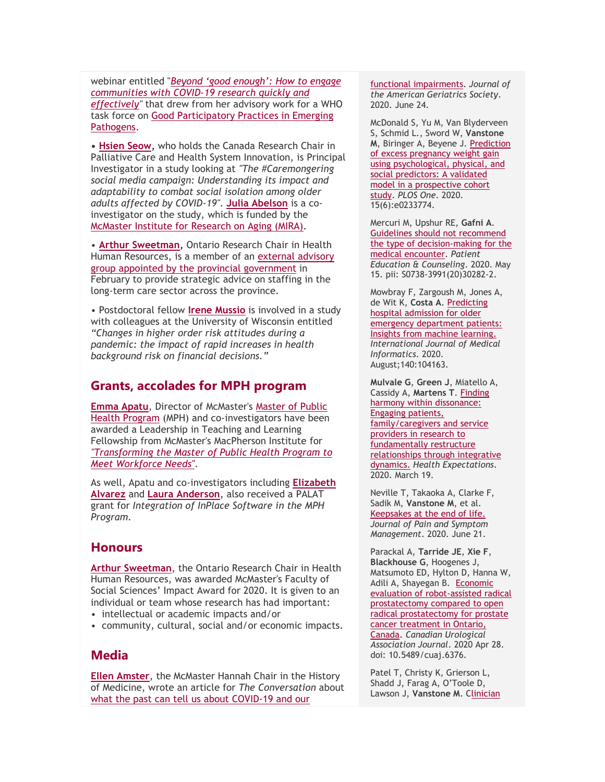webinar entitled "*Beyond 'good [enough':](https://newsletters.cubiclefugitive.com/t/y-l-uhskid-gkhitzlj-yh/) How to engage [communities](https://newsletters.cubiclefugitive.com/t/y-l-uhskid-gkhitzlj-yh/) with COVID-19 research quickly and [effectively"](https://newsletters.cubiclefugitive.com/t/y-l-uhskid-gkhitzlj-yh/)* that drew from her advisory work for a WHO task force on Good [Participatory](https://newsletters.cubiclefugitive.com/t/y-l-uhskid-gkhitzlj-yk/) Practices in Emerging [Pathogens.](https://newsletters.cubiclefugitive.com/t/y-l-uhskid-gkhitzlj-yk/)

**• Hsien [Seow,](https://newsletters.cubiclefugitive.com/t/y-l-uhskid-gkhitzlj-yu/)** who holds the Canada Research Chair in Palliative Care and Health System Innovation, is Principal Investigator in a study looking at *"The #Caremongering social media campaign: Understanding its impact and adaptability to combat social isolation among older adults affected by COVID-19"*. **Julia [Abelson](https://newsletters.cubiclefugitive.com/t/y-l-uhskid-gkhitzlj-jl/)** is a coinvestigator on the study, which is funded by the [McMaster](https://newsletters.cubiclefugitive.com/t/y-l-uhskid-gkhitzlj-jr/) Institute for Research on Aging (MIRA).

• **Arthur [Sweetman,](https://newsletters.cubiclefugitive.com/t/y-l-uhskid-gkhitzlj-jy/)** Ontario Research Chair in Health Human Resources, is a member of an [external](https://newsletters.cubiclefugitive.com/t/y-l-uhskid-gkhitzlj-jj/) advisory group appointed by the provincial [government](https://newsletters.cubiclefugitive.com/t/y-l-uhskid-gkhitzlj-jj/) in February to provide strategic advice on staffing in the long-term care sector across the province.

• Postdoctoral fellow **Irene [Mussio](https://newsletters.cubiclefugitive.com/t/y-l-uhskid-gkhitzlj-jt/)** is involved in a study with colleagues at the University of Wisconsin entitled *"Changes in higher order risk attitudes during a pandemic: the impact of rapid increases in health background risk on financial decisions."*

#### **Grants, accolades for MPH program**

**[Emma](https://newsletters.cubiclefugitive.com/t/y-l-uhskid-gkhitzlj-ji/) Apatu**, Director of McMaster's [Master](https://newsletters.cubiclefugitive.com/t/y-l-uhskid-gkhitzlj-jd/) of Public Health [Program](https://newsletters.cubiclefugitive.com/t/y-l-uhskid-gkhitzlj-jd/) (MPH) and co-investigators have been awarded a Leadership in Teaching and Learning Fellowship from McMaster's MacPherson Institute for *["Transforming](https://newsletters.cubiclefugitive.com/t/y-l-uhskid-gkhitzlj-jh/) the Master of Public Health Program to Meet [Workforce](https://newsletters.cubiclefugitive.com/t/y-l-uhskid-gkhitzlj-jh/) Needs".*

As well, Apatu and co-investigators including **[Elizabeth](https://newsletters.cubiclefugitive.com/t/y-l-uhskid-gkhitzlj-jk/) [Alvarez](https://newsletters.cubiclefugitive.com/t/y-l-uhskid-gkhitzlj-jk/)** and **Laura [Anderson](https://newsletters.cubiclefugitive.com/t/y-l-uhskid-gkhitzlj-ju/)**, also received a PALAT grant for *Integration of InPlace Software in the MPH Program.*

#### **Honours**

**Arthur [Sweetman](https://newsletters.cubiclefugitive.com/t/y-l-uhskid-gkhitzlj-tl/)**, the Ontario Research Chair in Health Human Resources, was awarded McMaster's Faculty of Social Sciences' Impact Award for 2020. It is given to an individual or team whose research has had important:

- intellectual or academic impacts and/or
- community, cultural, social and/or economic impacts.

#### **Media**

**Ellen [Amster](https://newsletters.cubiclefugitive.com/t/y-l-uhskid-gkhitzlj-tr/)**, the McMaster Hannah Chair in the History of Medicine, wrote an article for *The Conversation* abou[t](https://newsletters.cubiclefugitive.com/t/y-l-uhskid-gkhitzlj-ty/) what the past can tell us about [COVID-19](https://newsletters.cubiclefugitive.com/t/y-l-uhskid-gkhitzlj-ty/) and our

functional [impairments.](https://newsletters.cubiclefugitive.com/t/y-l-uhskid-gkhitzlj-ht/) *Journal of the American Geriatrics Society*. 2020. June 24.

McDonald S, Yu M, Van Blyderveen S, Schmid L., Sword W, **Vanstone M**, Biringer A, Beyene J. [Prediction](https://newsletters.cubiclefugitive.com/t/y-l-uhskid-gkhitzlj-hi/) of excess [pregnancy](https://newsletters.cubiclefugitive.com/t/y-l-uhskid-gkhitzlj-hi/) weight gain using [psychological,](https://newsletters.cubiclefugitive.com/t/y-l-uhskid-gkhitzlj-hi/) physical, and social [predictors:](https://newsletters.cubiclefugitive.com/t/y-l-uhskid-gkhitzlj-hi/) A validated model in a [prospective](https://newsletters.cubiclefugitive.com/t/y-l-uhskid-gkhitzlj-hi/) cohort [study.](https://newsletters.cubiclefugitive.com/t/y-l-uhskid-gkhitzlj-hi/) *PLOS One*. 2020. 15(6):e0233774.

Mercuri M, Upshur RE, **Gafni A**. Guidelines should not [recommend](https://newsletters.cubiclefugitive.com/t/y-l-uhskid-gkhitzlj-hd/) the type of [decision-making](https://newsletters.cubiclefugitive.com/t/y-l-uhskid-gkhitzlj-hd/) for the medical [encounter.](https://newsletters.cubiclefugitive.com/t/y-l-uhskid-gkhitzlj-hd/) *Patient Education & Counseling*. 2020. May 15. pii: S0738-3991(20)30282-2.

Mowbray F, Zargoush M, Jones A, de Wit K, **Costa A**[. Predicting](https://newsletters.cubiclefugitive.com/t/y-l-uhskid-gkhitzlj-hh/) hospital [admission](https://newsletters.cubiclefugitive.com/t/y-l-uhskid-gkhitzlj-hh/) for older emergency [department](https://newsletters.cubiclefugitive.com/t/y-l-uhskid-gkhitzlj-hh/) patients: Insights from machine [learning.](https://newsletters.cubiclefugitive.com/t/y-l-uhskid-gkhitzlj-hh/) *International Journal of Medical Informatics*. 2020. August;140:104163.

**Mulvale G**, **Green J**, Miatello A, Cassidy A, **Martens T**. [Finding](https://newsletters.cubiclefugitive.com/t/y-l-uhskid-gkhitzlj-hk/) harmony within [dissonance:](https://newsletters.cubiclefugitive.com/t/y-l-uhskid-gkhitzlj-hk/) Engaging [patients,](https://newsletters.cubiclefugitive.com/t/y-l-uhskid-gkhitzlj-hk/) [family/caregivers](https://newsletters.cubiclefugitive.com/t/y-l-uhskid-gkhitzlj-hk/) and service [providers](https://newsletters.cubiclefugitive.com/t/y-l-uhskid-gkhitzlj-hk/) in research to [fundamentally](https://newsletters.cubiclefugitive.com/t/y-l-uhskid-gkhitzlj-hk/) restructure [relationships](https://newsletters.cubiclefugitive.com/t/y-l-uhskid-gkhitzlj-hk/) through integrative [dynamics.](https://newsletters.cubiclefugitive.com/t/y-l-uhskid-gkhitzlj-hk/) *Health Expectations*. 2020. March 19.

Neville T, Takaoka A, Clarke F, Sadik M, **Vanstone M**, et al. [Keepsakes](https://newsletters.cubiclefugitive.com/t/y-l-uhskid-gkhitzlj-hu/) at the end of life. *Journal of Pain and Symptom Management*. 2020. June 21.

Parackal A, **Tarride JE**, **Xie F**, **Blackhouse G**, Hoogenes J, Matsumoto ED, Hylton D, Hanna W, Adili A, Shayegan B. [Economic](https://newsletters.cubiclefugitive.com/t/y-l-uhskid-gkhitzlj-kl/) evaluation of [robot-assisted](https://newsletters.cubiclefugitive.com/t/y-l-uhskid-gkhitzlj-kl/) radical [prostatectomy](https://newsletters.cubiclefugitive.com/t/y-l-uhskid-gkhitzlj-kl/) compared to open radical [prostatectomy](https://newsletters.cubiclefugitive.com/t/y-l-uhskid-gkhitzlj-kl/) for prostate cancer [treatment](https://newsletters.cubiclefugitive.com/t/y-l-uhskid-gkhitzlj-kl/) in Ontario, [Canada.](https://newsletters.cubiclefugitive.com/t/y-l-uhskid-gkhitzlj-kl/) *Canadian Urological Association Journal*. 2020 Apr 28. doi: 10.5489/cuaj.6376.

Patel T, Christy K, Grierson L, Shadd J, Farag A, O'Toole D, Lawson J, **Vanstone M**. [Clinician](https://newsletters.cubiclefugitive.com/t/y-l-uhskid-gkhitzlj-kr/)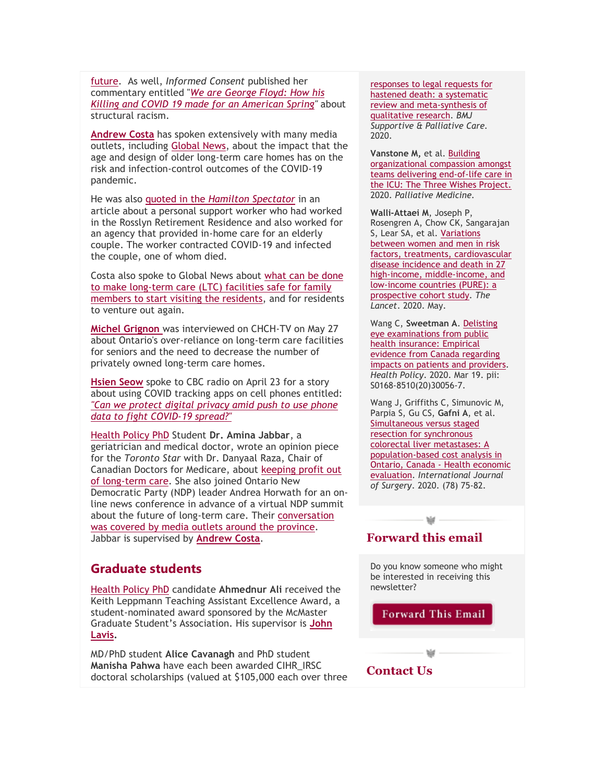[future.](https://newsletters.cubiclefugitive.com/t/y-l-uhskid-gkhitzlj-ty/) As well, *Informed Consent* published her commentary entitled "*We are [George](https://newsletters.cubiclefugitive.com/t/y-l-uhskid-gkhitzlj-tj/) Floyd: How his Killing and COVID 19 made for an [American](https://newsletters.cubiclefugitive.com/t/y-l-uhskid-gkhitzlj-tj/) Spring"* about structural racism.

**[Andrew](https://newsletters.cubiclefugitive.com/t/y-l-uhskid-gkhitzlj-tt/) Costa** has spoken extensively with many media outlets, including [Global](https://newsletters.cubiclefugitive.com/t/y-l-uhskid-gkhitzlj-ti/) News, about the impact that the age and design of older long-term care homes has on the risk and infection-control outcomes of the COVID-19 pandemic.

He was also quoted in the *Hamilton [Spectator](https://newsletters.cubiclefugitive.com/t/y-l-uhskid-gkhitzlj-td/)* in an article about a personal support worker who had worked in the Rosslyn Retirement Residence and also worked for an agency that provided in-home care for an elderly couple. The worker contracted COVID-19 and infected the couple, one of whom died.

Costa also spoke to Global News about [what](https://newsletters.cubiclefugitive.com/t/y-l-uhskid-gkhitzlj-th/) can be done to make [long-term](https://newsletters.cubiclefugitive.com/t/y-l-uhskid-gkhitzlj-th/) care (LTC) facilities safe for family members to start visiting the [residents,](https://newsletters.cubiclefugitive.com/t/y-l-uhskid-gkhitzlj-th/) and for residents to venture out again.

**Michel [Grignon](https://newsletters.cubiclefugitive.com/t/y-l-uhskid-gkhitzlj-tk/)** was interviewed on CHCH-TV on May 27 about Ontario's over-reliance on long-term care facilities for seniors and the need to decrease the number of privately owned long-term care homes.

**[Hsien](https://newsletters.cubiclefugitive.com/t/y-l-uhskid-gkhitzlj-tu/) Seow** spoke to CBC radio on April 23 for a story about using COVID tracking apps on cell phones entitled: *"Can we [protect](https://newsletters.cubiclefugitive.com/t/y-l-uhskid-gkhitzlj-il/) digital privacy amid push to use phone data to fight [COVID-19](https://newsletters.cubiclefugitive.com/t/y-l-uhskid-gkhitzlj-il/) spread?"*

[Health](https://newsletters.cubiclefugitive.com/t/y-l-uhskid-gkhitzlj-ir/) Policy PhD Student **Dr. Amina Jabbar**, a geriatrician and medical doctor, wrote an opinion piece for the *Toronto Star* with Dr. Danyaal Raza, Chair of Canadian Doctors for Medicare, about [keeping](https://newsletters.cubiclefugitive.com/t/y-l-uhskid-gkhitzlj-iy/) profit out of [long-term](https://newsletters.cubiclefugitive.com/t/y-l-uhskid-gkhitzlj-iy/) care. She also joined Ontario New Democratic Party (NDP) leader Andrea Horwath for an online news conference in advance of a virtual NDP summit about the future of long-term care. Their [conversation](https://newsletters.cubiclefugitive.com/t/y-l-uhskid-gkhitzlj-ij/) was covered by media outlets around the [province.](https://newsletters.cubiclefugitive.com/t/y-l-uhskid-gkhitzlj-ij/) Jabbar is supervised by **[Andrew](https://newsletters.cubiclefugitive.com/t/y-l-uhskid-gkhitzlj-it/) Costa**.

## **Graduate students**

[Health](https://newsletters.cubiclefugitive.com/t/y-l-uhskid-gkhitzlj-ii/) Policy PhD candidate **Ahmednur Ali** received the Keith Leppmann Teaching Assistant Excellence Award, a student-nominated award sponsored by the McMaster Graduate Student's Association. His supervisor is **[John](https://newsletters.cubiclefugitive.com/t/y-l-uhskid-gkhitzlj-id/) [Lavis.](https://newsletters.cubiclefugitive.com/t/y-l-uhskid-gkhitzlj-id/)**

MD/PhD student **Alice Cavanagh** and PhD student **Manisha Pahwa** have each been awarded CIHR\_IRSC doctoral scholarships (valued at \$105,000 each over three [responses](https://newsletters.cubiclefugitive.com/t/y-l-uhskid-gkhitzlj-kr/) to legal requests for hastened death: a [systematic](https://newsletters.cubiclefugitive.com/t/y-l-uhskid-gkhitzlj-kr/) review and [meta-synthesis](https://newsletters.cubiclefugitive.com/t/y-l-uhskid-gkhitzlj-kr/) of [qualitative](https://newsletters.cubiclefugitive.com/t/y-l-uhskid-gkhitzlj-kr/) research. *BMJ Supportive & Palliative Care.* 2020.

**Vanstone M,** et al. [Building](https://newsletters.cubiclefugitive.com/t/y-l-uhskid-gkhitzlj-ky/) [organizational](https://newsletters.cubiclefugitive.com/t/y-l-uhskid-gkhitzlj-ky/) compassion amongst teams delivering [end-of-life](https://newsletters.cubiclefugitive.com/t/y-l-uhskid-gkhitzlj-ky/) care in the ICU: The Three Wishes [Project.](https://newsletters.cubiclefugitive.com/t/y-l-uhskid-gkhitzlj-ky/) 2020. *Palliative Medicine.*

**Walli-Attaei M**, Joseph P, Rosengren A, Chow CK, Sangarajan S, Lear SA, et al. [Variations](https://newsletters.cubiclefugitive.com/t/y-l-uhskid-gkhitzlj-kj/) [between](https://newsletters.cubiclefugitive.com/t/y-l-uhskid-gkhitzlj-kj/) women and men in risk factors, treatments, [cardiovascular](https://newsletters.cubiclefugitive.com/t/y-l-uhskid-gkhitzlj-kj/) disease [incidence](https://newsletters.cubiclefugitive.com/t/y-l-uhskid-gkhitzlj-kj/) and death in 27 high-income, [middle-income,](https://newsletters.cubiclefugitive.com/t/y-l-uhskid-gkhitzlj-kj/) and [low-income](https://newsletters.cubiclefugitive.com/t/y-l-uhskid-gkhitzlj-kj/) countries (PURE): a [prospective](https://newsletters.cubiclefugitive.com/t/y-l-uhskid-gkhitzlj-kj/) cohort study. *The Lancet*. 2020. May.

Wang C, **Sweetman A**. [Delisting](https://newsletters.cubiclefugitive.com/t/y-l-uhskid-gkhitzlj-kt/) eye [examinations](https://newsletters.cubiclefugitive.com/t/y-l-uhskid-gkhitzlj-kt/) from public health [insurance:](https://newsletters.cubiclefugitive.com/t/y-l-uhskid-gkhitzlj-kt/) Empirical evidence from Canada [regarding](https://newsletters.cubiclefugitive.com/t/y-l-uhskid-gkhitzlj-kt/) impacts on patients and [providers.](https://newsletters.cubiclefugitive.com/t/y-l-uhskid-gkhitzlj-kt/) *Health Policy*. 2020. Mar 19. pii: S0168-8510(20)30056-7.

Wang J, Griffiths C, Simunovic M, Parpia S, Gu CS, **Gafni A**, et al. [Simultaneous](https://newsletters.cubiclefugitive.com/t/y-l-uhskid-gkhitzlj-ki/) versus staged resection for [synchronous](https://newsletters.cubiclefugitive.com/t/y-l-uhskid-gkhitzlj-ki/) colorectal liver [metastases:](https://newsletters.cubiclefugitive.com/t/y-l-uhskid-gkhitzlj-ki/) A [population-based](https://newsletters.cubiclefugitive.com/t/y-l-uhskid-gkhitzlj-ki/) cost analysis in Ontario, Canada - Health [economic](https://newsletters.cubiclefugitive.com/t/y-l-uhskid-gkhitzlj-ki/) [evaluation.](https://newsletters.cubiclefugitive.com/t/y-l-uhskid-gkhitzlj-ki/) *International Journal of Surgery*. 2020. (78) 75-82.

## **Forward this email**

Do you know someone who might be interested in receiving this newsletter?